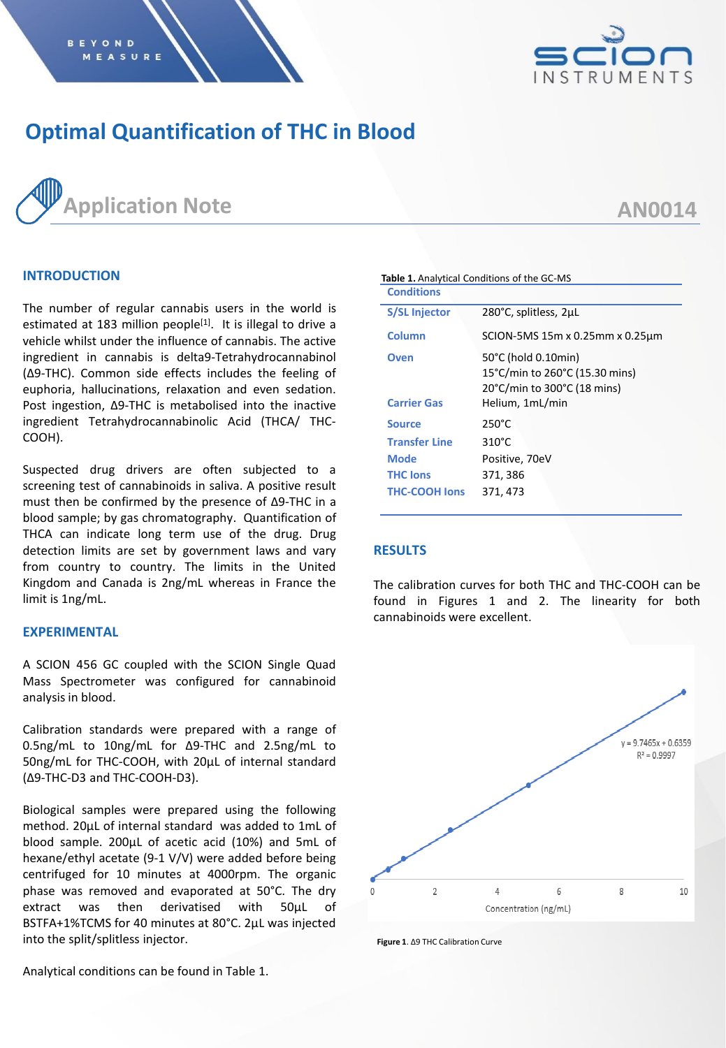

# **Optimal Quantification of THC in Blood**



## **AN0014**

## **INTRODUCTION**

The number of regular cannabis users in the world is estimated at 183 million people<sup>[1]</sup>. It is illegal to drive a vehicle whilst under the influence of cannabis. The active ingredient in cannabis is delta9-Tetrahydrocannabinol (Δ9-THC). Common side effects includes the feeling of euphoria, hallucinations, relaxation and even sedation. Post ingestion, Δ9-THC is metabolised into the inactive ingredient Tetrahydrocannabinolic Acid (THCA/ THC-COOH).

Suspected drug drivers are often subjected to a screening test of cannabinoids in saliva. A positive result must then be confirmed by the presence of Δ9-THC in a blood sample; by gas chromatography. Quantification of THCA can indicate long term use of the drug. Drug detection limits are set by government laws and vary from country to country. The limits in the United Kingdom and Canada is 2ng/mL whereas in France the limit is 1ng/mL.

#### **EXPERIMENTAL**

A SCION 456 GC coupled with the SCION Single Quad Mass Spectrometer was configured for cannabinoid analysis in blood.

Calibration standards were prepared with a range of 0.5ng/mL to 10ng/mL for Δ9-THC and 2.5ng/mL to 50ng/mL for THC-COOH, with 20µL of internal standard (Δ9-THC-D3 and THC-COOH-D3).

Biological samples were prepared using the following method. 20µL of internal standard was added to 1mL of blood sample. 200µL of acetic acid (10%) and 5mL of hexane/ethyl acetate (9-1 V/V) were added before being centrifuged for 10 minutes at 4000rpm. The organic phase was removed and evaporated at 50°C. The dry extract was then derivatised with 50µL of BSTFA+1%TCMS for 40 minutes at 80°C. 2µL was injected into the split/splitless injector.

**Table 1.** Analytical Conditions of the GC-MS **Conditions S/SL Injector** 280°C, splitless, 2µL **Column** SCION-5MS 15m x 0.25mm x 0.25µm **Oven** 50°C (hold 0.10min) 15°C/min to 260°C (15.30 mins) 20°C/min to 300°C (18 mins) **Carrier Gas** Helium, 1mL/min **Source** 250°C **Transfer Line** 310°C **Mode** Positive, 70eV **THC Ions** 371, 386 **THC-COOH Ions** 371, 473

#### **RESULTS**

The calibration curves for both THC and THC-COOH can be found in Figures 1 and 2. The linearity for both cannabinoids were excellent.



**Figure 1**. Δ9 THC Calibration Curve

Analytical conditions can be found in Table 1.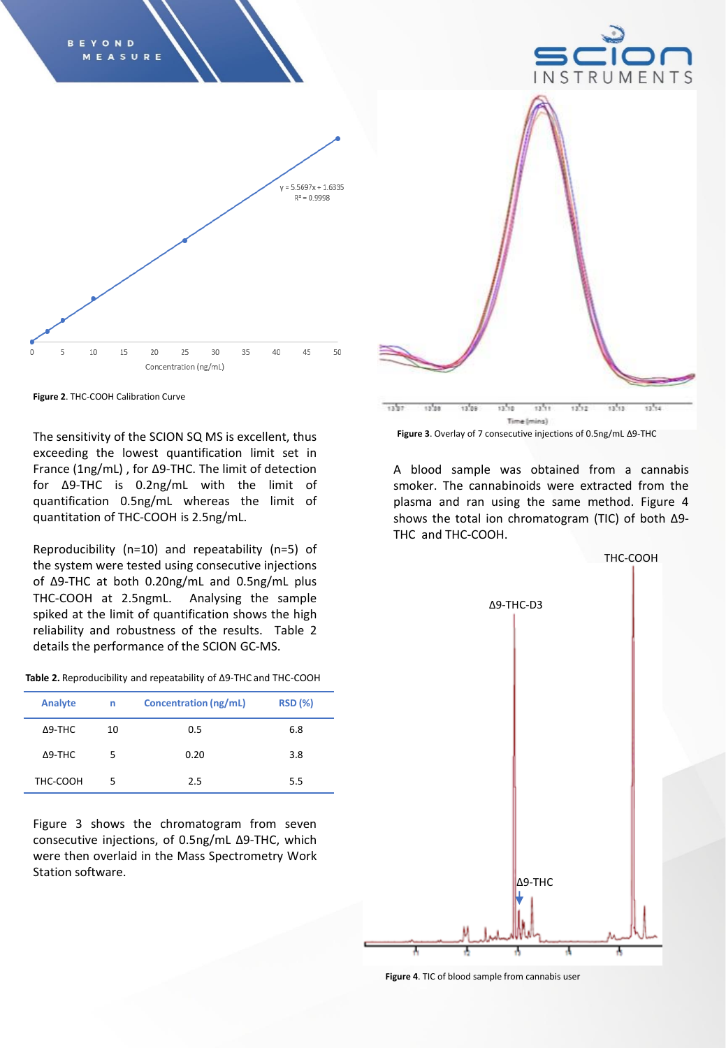

**Figure 2**. THC-COOH Calibration Curve

The sensitivity of the SCION SQ MS is excellent, thus exceeding the lowest quantification limit set in France (1ng/mL) , for Δ9-THC. The limit of detection for Δ9-THC is 0.2ng/mL with the limit of quantification 0.5ng/mL whereas the limit of quantitation of THC-COOH is 2.5ng/mL.

Reproducibility (n=10) and repeatability (n=5) of the system were tested using consecutive injections of Δ9-THC at both 0.20ng/mL and 0.5ng/mL plus THC-COOH at 2.5ngmL. Analysing the sample spiked at the limit of quantification shows the high reliability and robustness of the results. Table 2 details the performance of the SCION GC-MS.

| Table 2. Reproducibility and repeatability of $\Delta$ 9-THC and THC-COOH |
|---------------------------------------------------------------------------|
|---------------------------------------------------------------------------|

| Analyte        | n  | Concentration (ng/mL) | <b>RSD (%)</b> |
|----------------|----|-----------------------|----------------|
| $\Delta$ 9-THC | 10 | 0.5                   | 6.8            |
| $\Delta$ 9-THC | 5. | 0.20                  | 3.8            |
| THC-COOH       | 5  | 2.5                   | 5.5            |

Figure 3 shows the chromatogram from seven consecutive injections, of 0.5ng/mL Δ9-THC, which were then overlaid in the Mass Spectrometry Work Station software.



**Figure 3**. Overlay of 7 consecutive injections of 0.5ng/mL Δ9-THC

A blood sample was obtained from a cannabis smoker. The cannabinoids were extracted from the plasma and ran using the same method. Figure 4 shows the total ion chromatogram (TIC) of both Δ9- THC and THC-COOH.



**Figure 4**. TIC of blood sample from cannabis user